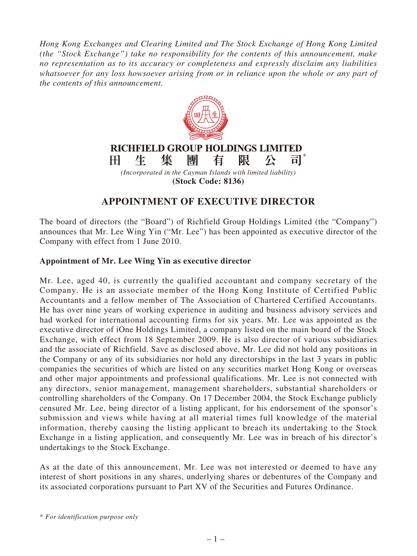*Hong Kong Exchanges and Clearing Limited and The Stock Exchange of Hong Kong Limited (the "Stock Exchange") take no responsibility for the contents of this announcement, make no representation as to its accuracy or completeness and expressly disclaim any liabilities whatsoever for any loss howsoever arising from or in reliance upon the whole or any part of the contents of this announcement.*



## **APPOINTMENT OF EXECUTIVE DIRECTOR**

The board of directors (the "Board") of Richfield Group Holdings Limited (the "Company") announces that Mr. Lee Wing Yin ("Mr. Lee") has been appointed as executive director of the Company with effect from 1 June 2010.

## **Appointment of Mr. Lee Wing Yin as executive director**

Mr. Lee, aged 40, is currently the qualified accountant and company secretary of the Company. He is an associate member of the Hong Kong Institute of Certified Public Accountants and a fellow member of The Association of Chartered Certified Accountants. He has over nine years of working experience in auditing and business advisory services and had worked for international accounting firms for six years. Mr. Lee was appointed as the executive director of iOne Holdings Limited, a company listed on the main board of the Stock Exchange, with effect from 18 September 2009. He is also director of various subsidiaries and the associate of Richfield. Save as disclosed above, Mr. Lee did not hold any positions in the Company or any of its subsidiaries nor hold any directorships in the last 3 years in public companies the securities of which are listed on any securities market Hong Kong or overseas and other major appointments and professional qualifications. Mr. Lee is not connected with any directors, senior management, management shareholders, substantial shareholders or controlling shareholders of the Company. On 17 December 2004, the Stock Exchange publicly censured Mr. Lee, being director of a listing applicant, for his endorsement of the sponsor's submission and views while having at all material times full knowledge of the material information, thereby causing the listing applicant to breach its undertaking to the Stock Exchange in a listing application, and consequently Mr. Lee was in breach of his director's undertakings to the Stock Exchange.

As at the date of this announcement, Mr. Lee was not interested or deemed to have any interest of short positions in any shares, underlying shares or debentures of the Company and its associated corporations pursuant to Part XV of the Securities and Futures Ordinance.

\* *For identification purpose only*